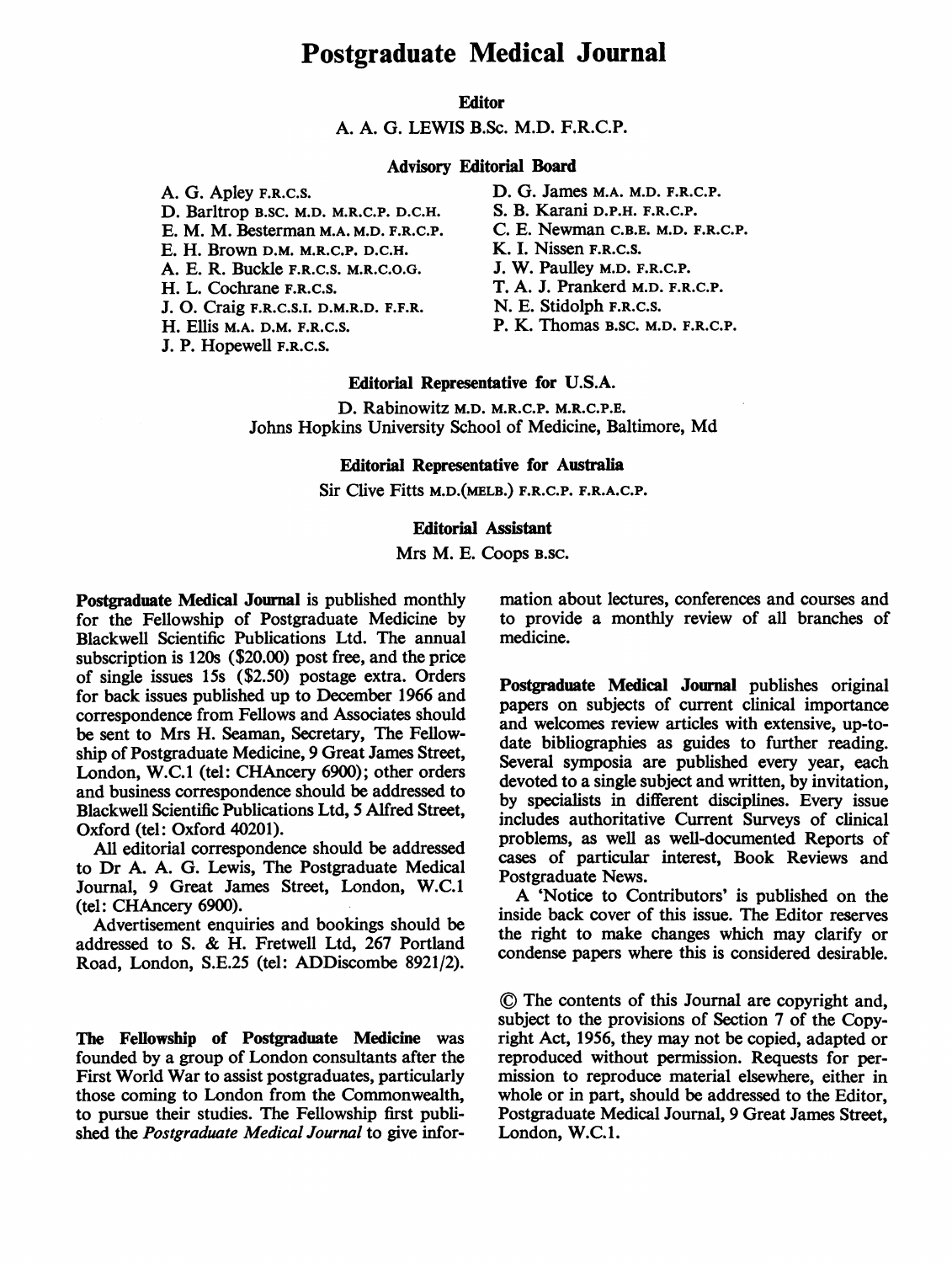# Postgraduate Medical Journal

## **Editor**

A. A. G. LEWIS B.Sc. M.D. F.R.C.P.

#### Advisory Editorial Board

A. G. Apley F.R.C.S. D. Barltrop B.sc. M.D. M.R.C.P. D.C.H. E. M. M. Besterman M.A. M.D. F.R.C.P. E. H. Brown D.M. M.R.C.P. D.C.H. A. E. R. Buckle F.R.C.S. M.R.C.O.G. H. L. Cochrane F.R.C.S. J. O. Craig F.R.C.S.I. D.M.R.D. F.F.R. H. Ellis M.A. D.M. F.R.C.S. J. P. Hopewell F.R.C.S.

- D. G. James M.A. M.D. F.R.C.P. S. B. Karani D.P.H. F.R.C.P. C. E. Newman C.B.E. M.D. F.R.C.P. K. I. Nissen F.R.C.S. J. W. Paulley M.D. F.R.C.P. T. A. J. Prankerd M.D. F.R.C.P. N. E. Stidolph F.R.C.S.
- P. K. Thomas B.SC. M.D. F.R.C.P.

## Editorial Representative for U.S.A.

D. Rabinowitz M.D. M.R.C.P. M.R.C.P.E. Johns Hopkins University School of Medicine, Baltimore, Md

## Editorial Representative for Australia

Sir Clive Fitts M.D.(MELB.) F.R.C.P. F.R.A.C.P.

## Editorial Assistant

### Mrs M. E. Coops B.SC.

Postgraduate Medical Journal is published monthly for the Fellowship of Postgraduate Medicine by Blackwell Scientific Publications Ltd. The annual subscription is 120s (\$20.00) post free, and the price of single issues 15s (\$2.50) postage extra. Orders for back issues published up to December 1966 and correspondence from Fellows and Associates should be sent to Mrs H. Seaman, Secretary, The Fellowship of Postgraduate Medicine, 9 Great James Street, London, W.C.1 (tel: CHAncery 6900); other orders and business correspondence should be addressed to Blackwell Scientific Publications Ltd, 5 Alfred Street, Oxford (tel: Oxford 40201).

All editorial correspondence should be addressed to Dr A. A. G. Lewis, The Postgraduate Medical Journal, 9 Great James Street, London, W.C.1 (tel: CHAncery 6900).

Advertisement enquiries and bookings should be addressed to S. & H. Fretwell Ltd, <sup>267</sup> Portland Road, London, S.E.25 (tel: ADDiscombe 8921/2).

The Fellowship of Postgraduate Medicine was founded by a group of London consultants after the First World War to assist postgraduates, particularly those coming to London from the Commonwealth, to pursue their studies. The Fellowship first published the Postgraduate Medical Journal to give information about lectures, conferences and courses and to provide a monthly review of all branches of medicine.

Postgraduate Medical Journal publishes original papers on subjects of current clinical importance and welcomes review articles with extensive, up-todate bibliographies as guides to further reading. Several symposia are published every year, each devoted to a single subject and written, by invitation, by specialists in different disciplines. Every issue includes authoritative Current Surveys of clinical problems, as well as well-documented Reports of cases of particular interest, Book Reviews and Postgraduate News.

A 'Notice to Contributors' is published on the inside back cover of this issue. The Editor reserves the right to make changes which may clarify or condense papers where this is considered desirable.

( The contents of this Journal are copyright and, subject to the provisions of Section 7 of the Copyright Act, 1956, they may not be copied, adapted or reproduced without permission. Requests for permission to reproduce material elsewhere, either in whole or in part, should be addressed to the Editor, Postgraduate Medical Journal, 9 Great James Street, London, W.C.1.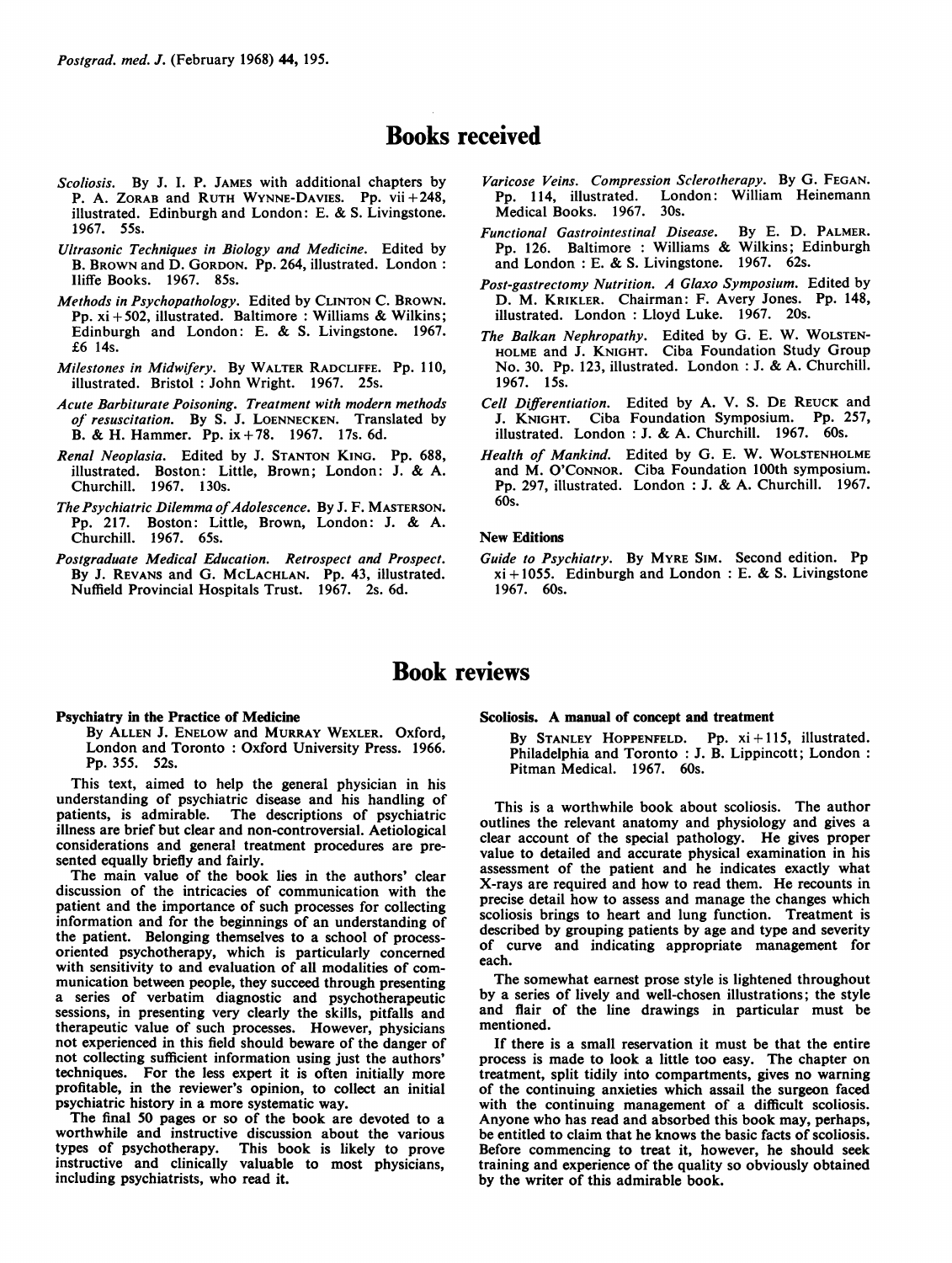# Books received

- Scoliosis. By J. I. P. JAMES with additional chapters by P. A. ZORAB and RUTH WYNNE-DAVIES. Pp. vii +248, illustrated. Edinburgh and London: E. & S. Livingstone. 1967. 55s.
- Ultrasonic Techniques in Biology and Medicine. Edited by B. BROWN and D. GORDON. Pp. 264, illustrated. London: Iliffe Books. 1967. 85s.
- Methods in Psychopathology. Edited by CLINTON C. BROWN. Pp. xi +502, illustrated. Baltimore : Williams & Wilkins; Edinburgh and London: E. & S. Livingstone. 1967. £6 14s.
- Milestones in Midwifery. By WALTER RADCLIFFE. Pp. 110, illustrated. Bristol : John Wright. 1967. 25s.
- Acute Barbiturate Poisoning. Treatment with modern methods of resuscitation. By S. J. LOENNECKEN. Translated by B. & H. Hammer. Pp. ix +78. 1967. 17s. 6d.
- Renal Neoplasia. Edited by J. STANTON KING. Pp. 688, illustrated. Boston: Little, Brown; London: J. & A. Churchill. 1967. 130s.
- The Psychiatric Dilemma of Adolescence. By J. F. MASTERSON. Pp. 217. Boston: Little, Brown, London: J. & A. Churchill. 1967. 65s.
- Postgraduate Medical Education. Retrospect and Prospect. By J. REVANS and G. MCLACHLAN. Pp. 43, illustrated. Nuffield Provincial Hospitals Trust. 1967. 2s. 6d.
- Varicose Veins. Compression Sclerotherapy. By G. FEGAN.<br>Pp. 114, illustrated. London: William Heinemann London: William Heinemann Medical Books. 1967. 30s.
- Functional Gastrointestinal Disease. By E. D. PALMER. Pp. 126. Baltimore : Williams & Wilkins; Edinburgh and London : E. & S. Livingstone. 1967. 62s.
- Post-gastrectomy Nutrition. A Glaxo Symposium. Edited by D. M. KRIKLER. Chairman: F. Avery Jones. Pp. 148, illustrated. London : Lloyd Luke. 1967. 20s.
- The Balkan Nephropathy. Edited by G. E. W. WOLSTEN-HOLME and J. KNIGHT. Ciba Foundation Study Group No. 30. Pp. 123, illustrated. London : J. & A. Churchill. 1967. 15s.
- Cell Differentiation. Edited by A. V. S. DE REUCK and J. KNIGHT. Ciba Foundation Symposium. Pp. 257, illustrated. London : J. & A. Churchill. 1967. 60s.
- Health of Mankind. Edited by G. E. W. WOLSTENHOLME and M. O'CONNOR. Ciba Foundation 100th symposium. Pp. 297, illustrated. London : J. & A. Churchill. 1967. 60s.

#### New Editions

Guide to Psychiatry. By MYRE SIM. Second edition. Pp  $xi + 1055$ . Edinburgh and London : E. & S. Livingstone 1967. 60s.

## Book reviews

#### Psychiatry in the Practice of Medicine

By ALLEN J. ENELOW and MURRAY WEXLER. Oxford, London and Toronto: Oxford University Press. 1966. Pp. 355. 52s.

This text, aimed to help the general physician in his understanding of psychiatric disease and his handling of patients, is admirable. The descriptions of psychiatric illness are brief but clear and non-controversial. Aetiological considerations and general treatment procedures are presented equally briefly and fairly.

The main value of the book lies in the authors' clear discussion of the intricacies of communication with the patient and the importance of such processes for collecting information and for the beginnings of an understanding of the patient. Belonging themselves to a school of processoriented psychotherapy, which is particularly concerned with sensitivity to and evaluation of all modalities of communication between people, they succeed through presenting a series of verbatim diagnostic and psychotherapeutic sessions, in presenting very clearly the skills, pitfalls and therapeutic value of such processes. However, physicians not experienced in this field should beware of the danger of not collecting sufficient information using just the authors' techniques. For the less expert it is often initially more profitable, in the reviewer's opinion, to collect an initial psychiatric history in a more systematic way.

The final 50 pages or so of the book are devoted to a worthwhile and instructive discussion about the various types of psychotherapy. This book is likely to prove instructive and clinically valuable to most physicians, including psychiatrists, who read it.

#### Scoliosis. A manual of concept and treatment

By STANLEY HOPPENFELD. Pp. xi + 115, illustrated. Philadelphia and Toronto : J. B. Lippincott; London: Pitman Medical. 1967. 60s.

This is a worthwhile book about scoliosis. The author outlines the relevant anatomy and physiology and gives a clear account of the special pathology. He gives proper value to detailed and accurate physical examination in his assessment of the patient and he indicates exactly what X-rays are required and how to read them. He recounts in precise detail how to assess and manage the changes which scoliosis brings to heart and lung function. Treatment is described by grouping patients by age and type and severity of curve and indicating appropriate management for each.

The somewhat earnest prose style is lightened throughout by a series of lively and well-chosen illustrations; the style and flair of the line drawings in particular must be mentioned.

If there is a small reservation it must be that the entire process is made to look a little too easy. The chapter on treatment, split tidily into compartments, gives no warning of the continuing anxieties which assail the surgeon faced with the continuing management of a difficult scoliosis. Anyone who has read and absorbed this book may, perhaps, be entitled to claim that he knows the basic facts of scoliosis. Before commencing to treat it, however, he should seek training and experience of the quality so obviously obtained by the writer of this admirable book.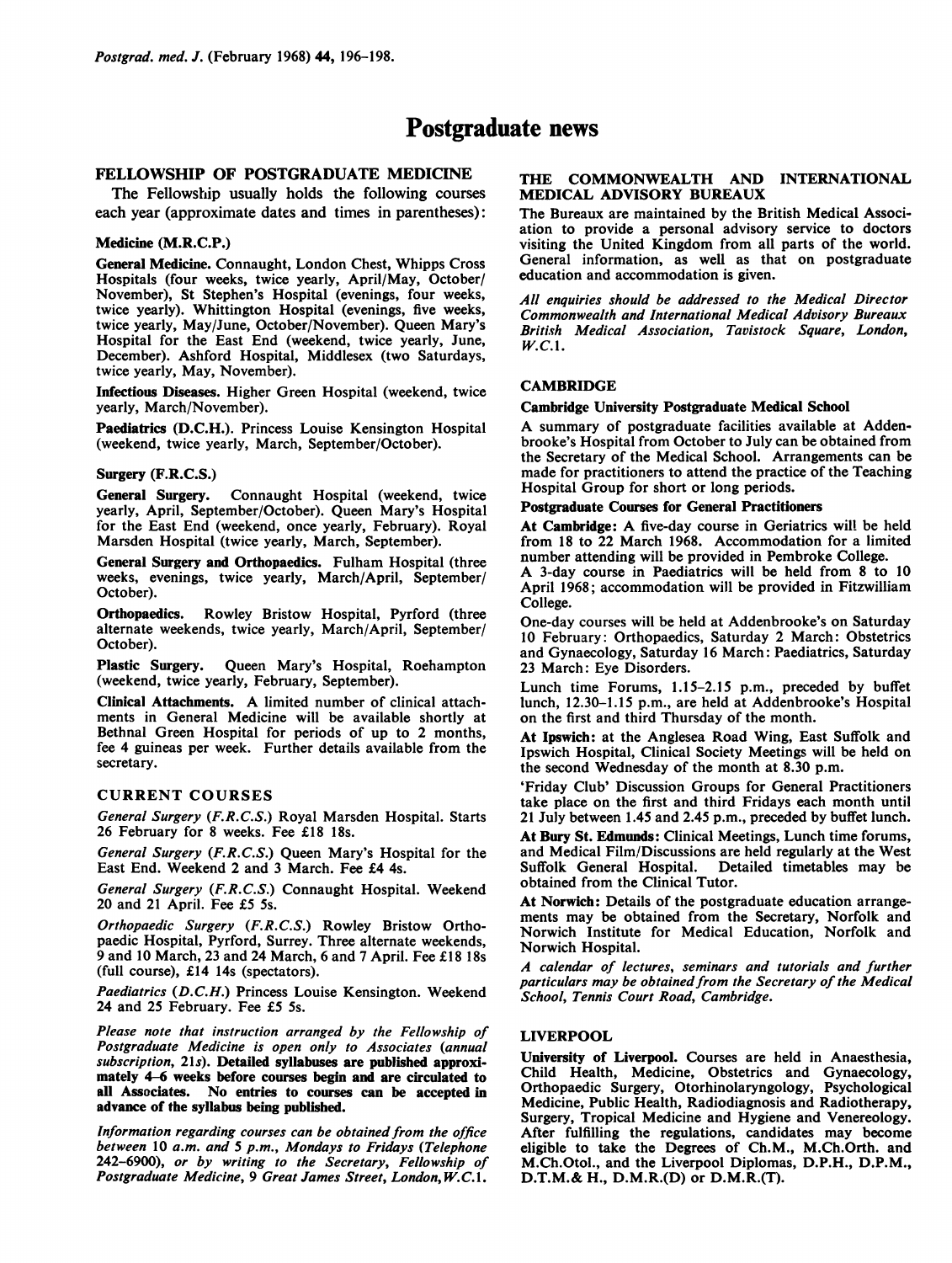## Postgraduate news

## FELLOWSHIP OF POSTGRADUATE MEDICINE

The Fellowship usually holds the following courses each year (approximate dates and times in parentheses):

#### Medicine (M.R.C.P.)

General Medicine. Connaught, London Chest, Whipps Cross Hospitals (four weeks, twice yearly, April/May, October/ November), St Stephen's Hospital (evenings, four weeks, twice yearly). Whittington Hospital (evenings, five weeks, twice yearly, May/June, October/November). Queen Mary's Hospital for the East End (weekend, twice yearly, June, December). Ashford Hospital, Middlesex (two Saturdays, twice yearly, May, November).

Infectious Diseases. Higher Green Hospital (weekend, twice yearly, March/November).

Paediatrics (D.C.H.). Princess Louise Kensington Hospital (weekend, twice yearly, March, September/October).

#### Surgery (F.R.C.S.)

General Surgery. Connaught Hospital (weekend, twice yearly, April, September/October). Queen Mary's Hospital for the East End (weekend, once yearly, February). Royal Marsden Hospital (twice yearly, March, September).

General Surgery and Orthopaedics. Fulham Hospital (three weeks, evenings, twice yearly, March/April, September/ October).

Orthopaedics. Rowley Bristow Hospital, Pyrford (three alternate weekends, twice yearly, March/April, September/ October).

Plastic Surgery. Queen Mary's Hospital, Roehampton (weekend, twice yearly, February, September).

Clinical Attachments. A limited number of clinical attachments in General Medicine will be available shortly at Bethnal Green Hospital for periods of up to 2 months, fee 4 guineas per week. Further details available from the secretary.

#### CURRENT COURSES

General Surgery (F.R.C.S.) Royal Marsden Hospital. Starts 26 February for <sup>8</sup> weeks. Fee £18 18s.

General Surgery (F.R.C.S.) Queen Mary's Hospital for the East End. Weekend 2 and 3 March. Fee £4 4s.

General Surgery (F.R.C.S.) Connaught Hospital. Weekend 20 and 21 April. Fee £5 5s.

Orthopaedic Surgery (F.R.C.S.) Rowley Bristow Orthopaedic Hospital, Pyrford, Surrey. Three alternate weekends, 9 and 10 March, 23 and 24 March, 6 and 7 April. Fee £18 18s (full course), £14 14s (spectators).

Paediatrics (D.C.H.) Princess Louise Kensington. Weekend 24 and 25 February. Fee £5 5s.

Please note that instruction arranged by the Fellowship of Postgraduate Medicine is open only to Associates (annual subscription, 21s). Detailed syllabuses are published approximately 4-6 weeks before courses begin and are circulated to all Associates. No entries to courses can be accepted in advance of the syllabus being published.

Information regarding courses can be obtained from the office between 10 a.m. and <sup>5</sup> p.m., Mondays to Fridays (Telephone 242-6900), or by writing to the Secretary, Fellowship of Postgraduate Medicine, 9 Great James Street, London, W.C. 1.

#### THE COMMONWEALTH AND INTERNATIONAL MEDICAL ADVISORY BUREAUX

The Bureaux are maintained by the British Medical Association to provide a personal advisory service to doctors visiting the United Kingdom from all parts of the world. General information, as well as that on postgraduate education and accommodation is given.

All enquiries should be addressed to the Medical Director Commonwealth and International Medical Advisory Bureaux British Medical Association, Tavistock Square, London,  $W.C.1$ .

#### CAMBRIDGE

#### Cambridge University Postgraduate Medical School

A summary of postgraduate facilities available at Addenbrooke's Hospital from October to July can be obtained from the Secretary of the Medical School. Arrangements can be made for practitioners to attend the practice of the Teaching Hospital Group for short or long periods.

#### Postgraduate Courses for General Practitioners

At Cambridge: A five-day course in Geriatrics will be held from 18 to 22 March 1968. Accommodation for a limited number attending will be provided in Pembroke College.

A 3-day course in Paediatrics will be held from <sup>8</sup> to <sup>10</sup> April 1968; accommodation will be provided in Fitzwilliam College.

One-day courses will be held at Addenbrooke's on Saturday 10 February: Orthopaedics, Saturday 2 March: Obstetrics and Gynaecology, Saturday 16 March: Paediatrics, Saturday 23 March: Eye Disorders.

Lunch time Forums, 1.15-2.15 p.m., preceded by buffet lunch, 12.30-1.15 p.m., are held at Addenbrooke's Hospital on the first and third Thursday of the month.

At Ipswich: at the Anglesea Road Wing, East Suffolk and Ipswich Hospital, Clinical Society Meetings will be held on the second Wednesday of the month at 8.30 p.m.

'Friday Club' Discussion Groups for General Practitioners take place on the first and third Fridays each month until 21 July between 1.45 and 2.45 p.m., preceded by buffet lunch.

At Bury St. Edmunds: Clinical Meetings, Lunch time forums, and Medical Film/Discussions are held regularly at the West Suffolk General Hospital. Detailed timetables may be obtained from the Clinical Tutor.

At Norwich: Details of the postgraduate education arrangements may be obtained from the Secretary, Norfolk and Norwich Institute for Medical Education, Norfolk and Norwich Hospital.

A calendar of lectures, seminars and tutorials and further particulars may be obtained from the Secretary of the Medical School, Tennis Court Road, Cambridge.

#### LIVERPOOL

University of Liverpool. Courses are held in Anaesthesia, Child Health, Medicine, Obstetrics and Gynaecology, Orthopaedic Surgery, Otorhinolaryngology, Psychological Medicine, Public Health, Radiodiagnosis and Radiotherapy, Surgery, Tropical Medicine and Hygiene and Venereology. After fulfilling the regulations, candidates may become eligible to take the Degrees of Ch.M., M.Ch.Orth. and M.Ch.Otol., and the Liverpool Diplomas, D.P.H., D.P.M., D.T.M.& H., D.M.R.(D) or D.M.R.(T).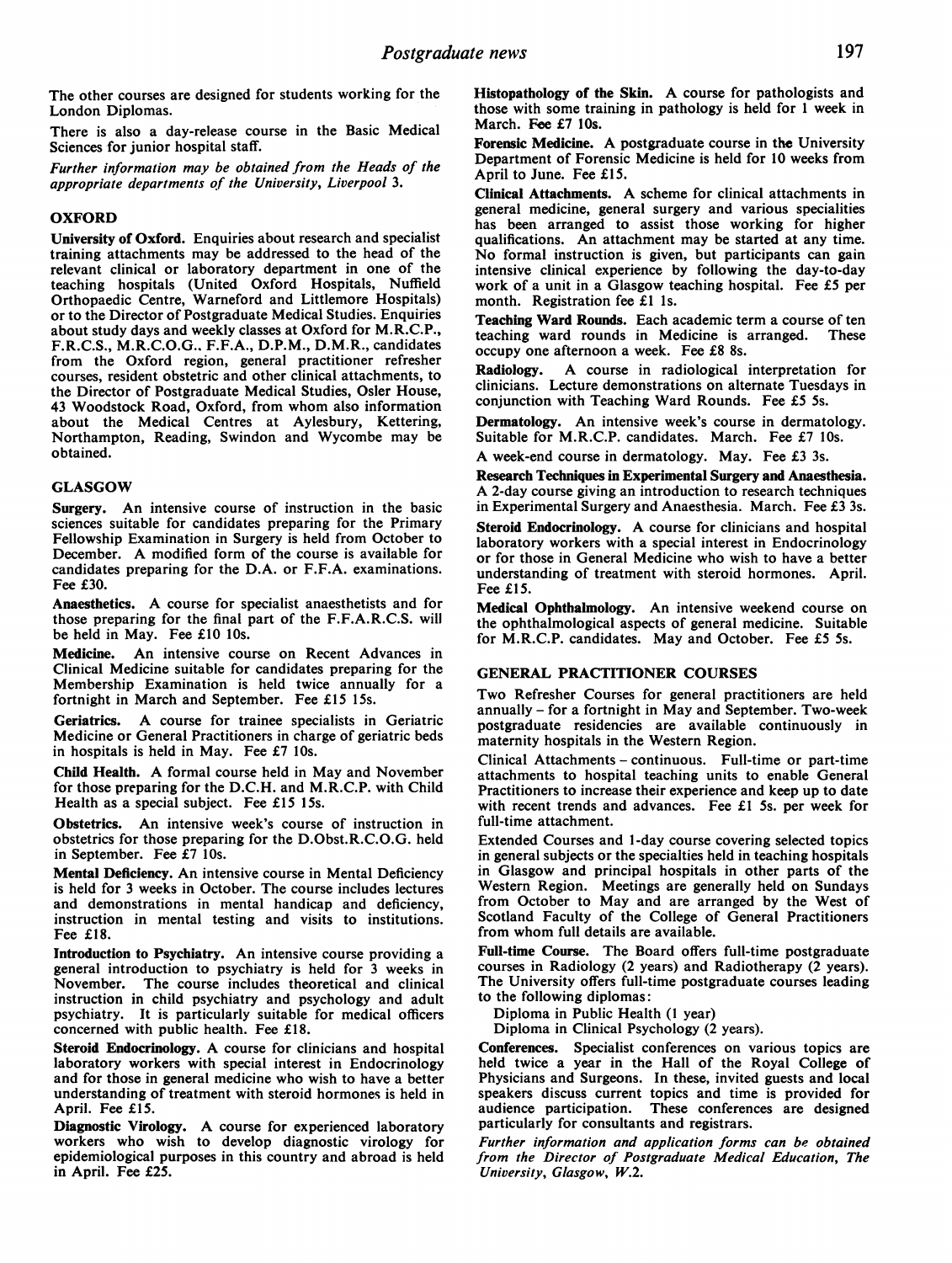The other courses are designed for students working for the London Diplomas.

There is also a day-release course in the Basic Medical Sciences for junior hospital staff.

Further information may be obtained from the Heads of the appropriate departments of the University, Liverpool 3.

#### OXFORD

University of Oxford. Enquiries about research and specialist training attachments may be addressed to the head of the relevant clinical or laboratory department in one of the teaching hospitals (United Oxford Hospitals, Nuffield Orthopaedic Centre, Warneford and Littlemore Hospitals) or to the Director of Postgraduate Medical Studies. Enquiries about study days and weekly classes at Oxford for M.R.C.P., F.R.C.S., M.R.C.O.G.. F.F.A., D.P.M., D.M.R., candidates from the Oxford region, general practitioner refresher courses, resident obstetric and other clinical attachments, to the Director of Postgraduate Medical Studies, Osler House, <sup>43</sup> Woodstock Road, Oxford, from whom also information about the Medical Centres at Aylesbury, Kettering, Northampton, Reading, Swindon and Wycombe may be obtained.

#### GLASGOW

Surgery. An intensive course of instruction in the basic sciences suitable for candidates preparing for the Primary Fellowship Examination in Surgery is held from October to December. A modified form of the course is available for candidates preparing for the D.A. or F.F.A. examinations. Fee £30.

Anaesthetics. A course for specialist anaesthetists and for those preparing for the final part of the F.F.A.R.C.S. will be held in May. Fee £10 10s.

Medicine. An intensive course on Recent Advances in Clinical Medicine suitable for candidates preparing for the Membership Examination is held twice annually for a fortnight in March and September. Fee £15 15s.

Geriatrics. A course for trainee specialists in Geriatric Medicine or General Practitioners in charge of geriatric beds in hospitals is held in May. Fee £7 10s.

Child Health. A formal course held in May and November for those preparing for the D.C.H. and M.R.C.P. with Child Health as a special subject. Fee £15 15s.

Obstetrics. An intensive week's course of instruction in obstetrics for those preparing for the D.Obst.R.C.O.G. held in September. Fee £7 10s.

Mental Deficiency. An intensive course in Mental Deficiency is held for <sup>3</sup> weeks in October. The course includes lectures and demonstrations in mental handicap and deficiency, instruction in mental testing and visits to institutions. Fee £18.

Introduction to Psychiatry. An intensive course providing <sup>a</sup> general introduction to psychiatry is held for <sup>3</sup> weeks in November. The course includes theoretical and clinical instruction in child psychiatry and psychology and adult psychiatry. It is particularly suitable for medical officers concerned with public health. Fee £18.

Steroid Endocrinology. A course for clinicians and hospital laboratory workers with special interest in Endocrinology and for those in general medicine who wish to have a better understanding of treatment with steroid hormones is held in April. Fee £15.

Diagnostic Virology. A course for experienced laboratory workers who wish to develop diagnostic virology for epidemiological purposes in this country and abroad is held in April. Fee £25.

Histopathology of the Skin. A course for pathologists and those with some training in pathology is held for <sup>1</sup> week in March. Fee £7 10s.

Forensic Medicine. A postgraduate course in the University Department of Forensic Medicine is held for 10 weeks from April to June. Fee £15.

Clinical Attachments. A scheme for clinical attachments in general medicine, general surgery and various specialities has been arranged to assist those working for higher qualifications. An attachment may be started at any time. No formal instruction is given, but participants can gain intensive clinical experience by following the day-to-day work of a unit in a Glasgow teaching hospital. Fee £5 per month. Registration fee £1 Is.

Teaching Ward Rounds. Each academic term <sup>a</sup> course of ten teaching ward rounds in Medicine is arranged. These occupy one afternoon a week. Fee £8 8s.

Radiology. A course in radiological interpretation for clinicians. Lecture demonstrations on alternate Tuesdays in conjunction with Teaching Ward Rounds. Fee £5 5s.

Dermatology. An intensive week's course in dermatology. Suitable for M.R.C.P. candidates. March. Fee £7 10s.

A week-end course in dermatology. May. Fee £3 3s.

Research Techniques in Experimental Surgery and Anaesthesia. A 2-day course giving an introduction to research techniques in Experimental Surgery and Anaesthesia. March. Fee £3 3s.

Steroid Endocrinology. A course for clinicians and hospital laboratory workers with a special interest in Endocrinology or for those in General Medicine who wish to have a better understanding of treatment with steroid hormones. April. Fee £15.

Medical Ophthalmology. An intensive weekend course on the ophthalmological aspects of general medicine. Suitable for M.R.C.P. candidates. May and October. Fee £5 5s.

#### GENERAL PRACTITIONER COURSES

Two Refresher Courses for general practitioners are held annually - for <sup>a</sup> fortnight in May and September. Two-week postgraduate residencies are available continuously in maternity hospitals in the Western Region.

Clinical Attachments - continuous. Full-time or part-time attachments to hospital teaching units to enable General Practitioners to increase their experience and keep up to date with recent trends and advances. Fee £1 5s. per week for full-time attachment.

Extended Courses and 1-day course covering selected topics in general subjects or the specialties held in teaching hospitals in Glasgow and principal hospitals in other parts of the Western Region. Meetings are generally held on Sundays from October to May and are arranged by the West of Scotland Faculty of the College of General Practitioners from whom full details are available.

Full-time Course. The Board offers full-time postgraduate courses in Radiology (2 years) and Radiotherapy (2 years). The University offers full-time postgraduate courses leading to the following diplomas:

Diploma in Public Health (1 year)

Diploma in Clinical Psychology (2 years).

Conferences. Specialist conferences on various topics are held twice a year in the Hall of the Royal College of Physicians and Surgeons. In these, invited guests and local speakers discuss current topics and time is provided for audience participation. These conferences are designed particularly for consultants and registrars.

Further information and application forms can be obtained from the Director of Postgraduate Medical Education, The University, Glasgow, W.2.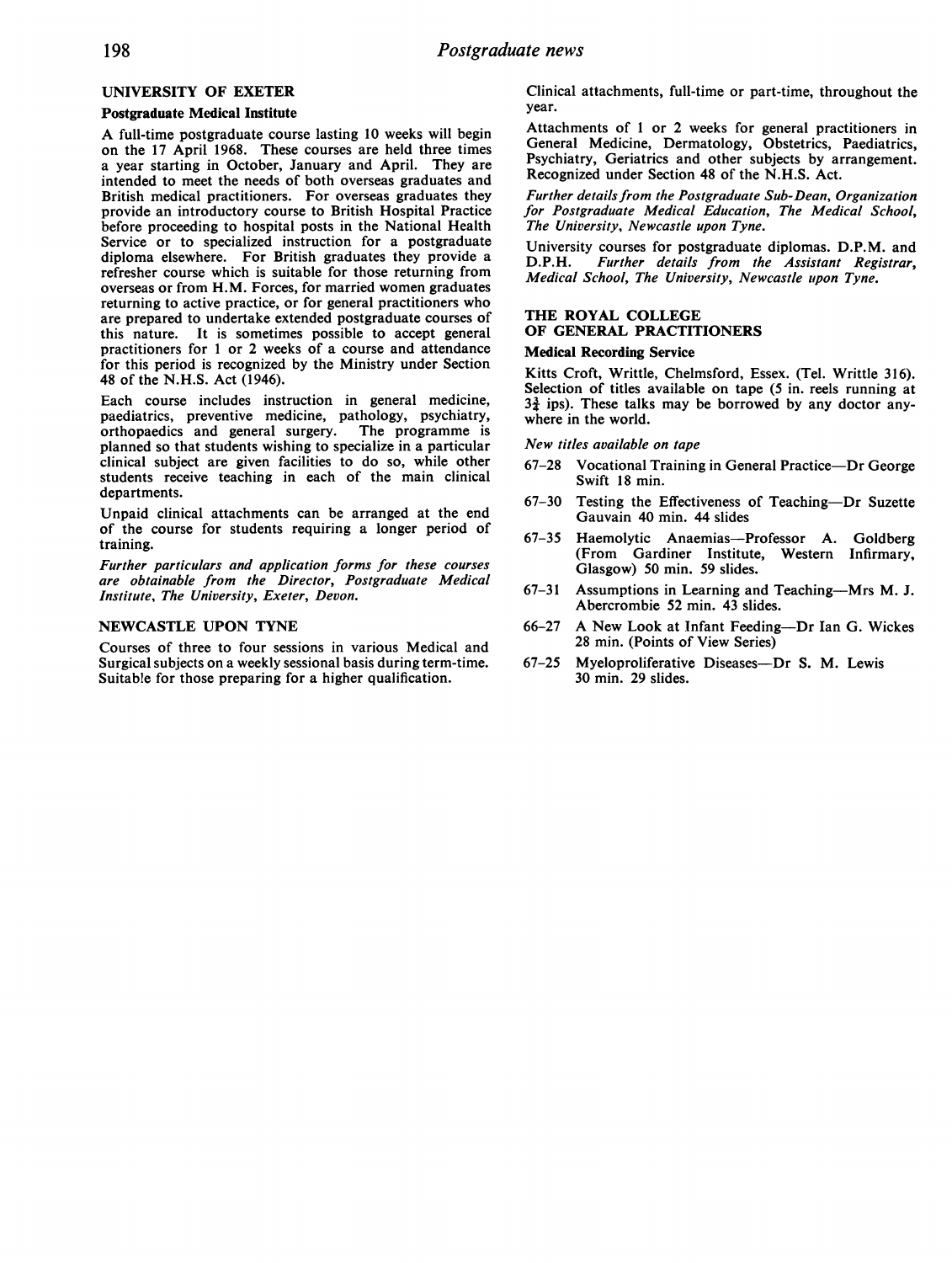#### Postgraduate Medical Institute

A full-time postgraduate course lasting <sup>10</sup> weeks will begin on the 17 April 1968. These courses are held three times a year starting in October, January and April. They are intended to meet the needs of both overseas graduates and British medical practitioners. For overseas graduates they provide an introductory course to British Hospital Practice before proceeding to hospital posts in the National Health Service or to specialized instruction for a postgraduate diploma elsewhere. For British graduates they provide a refresher course which is suitable for those returning from overseas or from H.M. Forces, for married women graduates returning to active practice, or for general practitioners who are prepared to undertake extended postgraduate courses of this nature. It is sometimes possible to accept general practitioners for <sup>1</sup> or 2 weeks of a course and attendance for this period is recognized by the Ministry under Section 48 of the N.H.S. Act (1946).

Each course includes instruction in general medicine, paediatrics, preventive medicine, pathology, psychiatry, orthopaedics and general surgery. planned so that students wishing to specialize in a particular clinical subject are given facilities to do so, while other students receive teaching in each of the main clinical departments.

Unpaid clinical attachments can be arranged at the end of the course for students requiring a longer period of training.

Further particulars and application forms for these courses are obtainable from the Director, Postgraduate Medical Institute, The University, Exeter, Devon.

#### NEWCASTLE UPON TYNE

Courses of three to four sessions in various Medical and Surgical subjects on a weekly sessional basis during term-time. Suitable for those preparing for a higher qualification.

Clinical attachments, full-time or part-time, throughout the year.

Attachments of <sup>1</sup> or 2 weeks for general practitioners in General Medicine, Dermatology, Obstetrics, Paediatrics, Psychiatry, Geriatrics and other subjects by arrangement. Recognized under Section 48 of the N.H.S. Act.

Further details from the Postgraduate Sub-Dean, Organization for Postgraduate Medical Education, The Medical School, The University, Newcastle upon Tyne.

University courses for postgraduate diplomas. D.P.M. and D.P.H. Further details from the Assistant Registrar. Further details from the Assistant Registrar, Medical School, The University, Newcastle upon Tyne.

#### THE ROYAL COLLEGE OF GENERAL PRACTITIONERS

#### Medical Recording Service

Kitts Croft, Writtle, Chelmsford, Essex. (Tel. Writtle 316). Selection of titles available on tape (5 in. reels running at  $3\frac{3}{4}$  ips). These talks may be borrowed by any doctor anywhere in the world.

New titles available on tape

- 67-28 Vocational Training in General Practice-Dr George Swift 18 min.
- 67-30 Testing the Effectiveness of Teaching-Dr Suzette Gauvain 40 min. 44 slides
- 67-35 Haemolytic Anaemias-Professor A. Goldberg (From Gardiner Institute, Western Infirmary, Glasgow) 50 min. 59 slides.
- 67-31 Assumptions in Learning and Teaching-Mrs M. J. Abercrombie 52 min. 43 slides.
- 66-27 A New Look at Infant Feeding-Dr Ian G. Wickes 28 min. (Points of View Series)
- 67-25 Myeloproliferative Diseases-Dr S. M. Lewis 30 min. 29 slides.